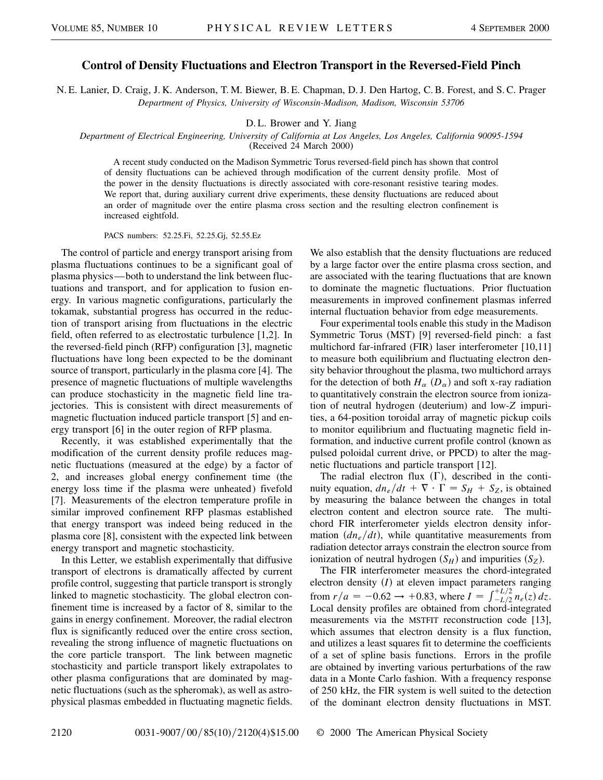## **Control of Density Fluctuations and Electron Transport in the Reversed-Field Pinch**

N. E. Lanier, D. Craig, J. K. Anderson, T. M. Biewer, B. E. Chapman, D. J. Den Hartog, C. B. Forest, and S. C. Prager *Department of Physics, University of Wisconsin-Madison, Madison, Wisconsin 53706*

D. L. Brower and Y. Jiang

## *Department of Electrical Engineering, University of California at Los Angeles, Los Angeles, California 90095-1594*

(Received 24 March 2000)

A recent study conducted on the Madison Symmetric Torus reversed-field pinch has shown that control of density fluctuations can be achieved through modification of the current density profile. Most of the power in the density fluctuations is directly associated with core-resonant resistive tearing modes. We report that, during auxiliary current drive experiments, these density fluctuations are reduced about an order of magnitude over the entire plasma cross section and the resulting electron confinement is increased eightfold.

PACS numbers: 52.25.Fi, 52.25.Gj, 52.55.Ez

The control of particle and energy transport arising from plasma fluctuations continues to be a significant goal of plasma physics—both to understand the link between fluctuations and transport, and for application to fusion energy. In various magnetic configurations, particularly the tokamak, substantial progress has occurred in the reduction of transport arising from fluctuations in the electric field, often referred to as electrostatic turbulence [1,2]. In the reversed-field pinch (RFP) configuration [3], magnetic fluctuations have long been expected to be the dominant source of transport, particularly in the plasma core [4]. The presence of magnetic fluctuations of multiple wavelengths can produce stochasticity in the magnetic field line trajectories. This is consistent with direct measurements of magnetic fluctuation induced particle transport [5] and energy transport [6] in the outer region of RFP plasma.

Recently, it was established experimentally that the modification of the current density profile reduces magnetic fluctuations (measured at the edge) by a factor of 2, and increases global energy confinement time (the energy loss time if the plasma were unheated) fivefold [7]. Measurements of the electron temperature profile in similar improved confinement RFP plasmas established that energy transport was indeed being reduced in the plasma core [8], consistent with the expected link between energy transport and magnetic stochasticity.

In this Letter, we establish experimentally that diffusive transport of electrons is dramatically affected by current profile control, suggesting that particle transport is strongly linked to magnetic stochasticity. The global electron confinement time is increased by a factor of 8, similar to the gains in energy confinement. Moreover, the radial electron flux is significantly reduced over the entire cross section, revealing the strong influence of magnetic fluctuations on the core particle transport. The link between magnetic stochasticity and particle transport likely extrapolates to other plasma configurations that are dominated by magnetic fluctuations (such as the spheromak), as well as astrophysical plasmas embedded in fluctuating magnetic fields. We also establish that the density fluctuations are reduced by a large factor over the entire plasma cross section, and are associated with the tearing fluctuations that are known to dominate the magnetic fluctuations. Prior fluctuation measurements in improved confinement plasmas inferred internal fluctuation behavior from edge measurements.

Four experimental tools enable this study in the Madison Symmetric Torus (MST) [9] reversed-field pinch: a fast multichord far-infrared (FIR) laser interferometer [10,11] to measure both equilibrium and fluctuating electron density behavior throughout the plasma, two multichord arrays for the detection of both  $H_{\alpha}$  ( $D_{\alpha}$ ) and soft x-ray radiation to quantitatively constrain the electron source from ionization of neutral hydrogen (deuterium) and low-*Z* impurities, a 64-position toroidal array of magnetic pickup coils to monitor equilibrium and fluctuating magnetic field information, and inductive current profile control (known as pulsed poloidal current drive, or PPCD) to alter the magnetic fluctuations and particle transport [12].

The radial electron flux  $(\Gamma)$ , described in the continuity equation,  $dn_e/dt + \nabla \cdot \Gamma = S_H + S_Z$ , is obtained by measuring the balance between the changes in total electron content and electron source rate. The multichord FIR interferometer yields electron density information  $(dn_e/dt)$ , while quantitative measurements from radiation detector arrays constrain the electron source from ionization of neutral hydrogen  $(S_H)$  and impurities  $(S_Z)$ .

The FIR interferometer measures the chord-integrated electron density  $(I)$  at eleven impact parameters ranging from  $r/a = -0.62 \rightarrow +0.83$ , where  $I = \int_{-L/2}^{+L/2} n_e(z) dz$ . Local density profiles are obtained from chord-integrated measurements via the MSTFIT reconstruction code [13], which assumes that electron density is a flux function, and utilizes a least squares fit to determine the coefficients of a set of spline basis functions. Errors in the profile are obtained by inverting various perturbations of the raw data in a Monte Carlo fashion. With a frequency response of 250 kHz, the FIR system is well suited to the detection of the dominant electron density fluctuations in MST.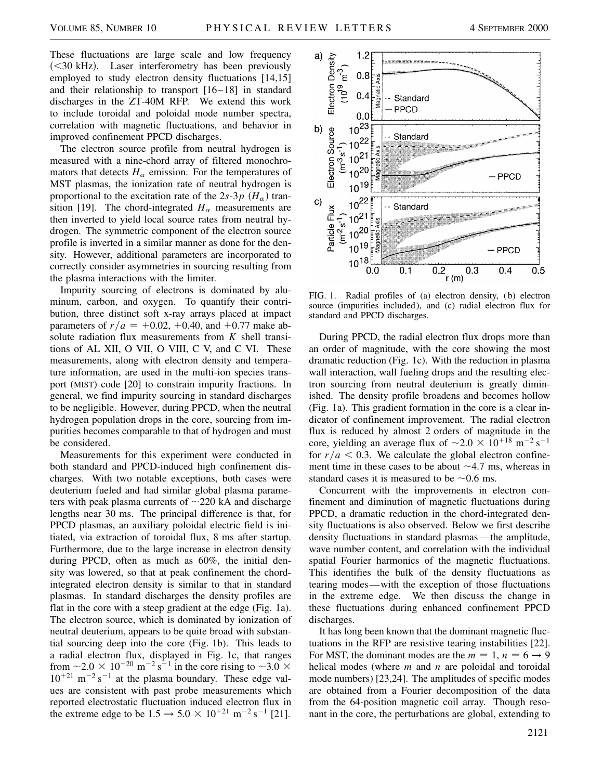These fluctuations are large scale and low frequency (<30 kHz). Laser interferometry has been previously employed to study electron density fluctuations [14,15] and their relationship to transport [16–18] in standard discharges in the ZT-40M RFP. We extend this work to include toroidal and poloidal mode number spectra, correlation with magnetic fluctuations, and behavior in improved confinement PPCD discharges.

The electron source profile from neutral hydrogen is measured with a nine-chord array of filtered monochromators that detects  $H_{\alpha}$  emission. For the temperatures of MST plasmas, the ionization rate of neutral hydrogen is proportional to the excitation rate of the  $2s-3p$   $(H_{\alpha})$  transition [19]. The chord-integrated  $H_\alpha$  measurements are then inverted to yield local source rates from neutral hydrogen. The symmetric component of the electron source profile is inverted in a similar manner as done for the density. However, additional parameters are incorporated to correctly consider asymmetries in sourcing resulting from the plasma interactions with the limiter.

Impurity sourcing of electrons is dominated by aluminum, carbon, and oxygen. To quantify their contribution, three distinct soft x-ray arrays placed at impact parameters of  $r/a = +0.02, +0.40,$  and  $+0.77$  make absolute radiation flux measurements from *K* shell transitions of AL XII, O VII, O VIII, C V, and C VI. These measurements, along with electron density and temperature information, are used in the multi-ion species transport (MIST) code [20] to constrain impurity fractions. In general, we find impurity sourcing in standard discharges to be negligible. However, during PPCD, when the neutral hydrogen population drops in the core, sourcing from impurities becomes comparable to that of hydrogen and must be considered.

Measurements for this experiment were conducted in both standard and PPCD-induced high confinement discharges. With two notable exceptions, both cases were deuterium fueled and had similar global plasma parameters with peak plasma currents of  $\sim$ 220 kA and discharge lengths near 30 ms. The principal difference is that, for PPCD plasmas, an auxiliary poloidal electric field is initiated, via extraction of toroidal flux, 8 ms after startup. Furthermore, due to the large increase in electron density during PPCD, often as much as 60%, the initial density was lowered, so that at peak confinement the chordintegrated electron density is similar to that in standard plasmas. In standard discharges the density profiles are flat in the core with a steep gradient at the edge (Fig. 1a). The electron source, which is dominated by ionization of neutral deuterium, appears to be quite broad with substantial sourcing deep into the core (Fig. 1b). This leads to a radial electron flux, displayed in Fig. 1c, that ranges from  $\sim$  2.0  $\times$  10<sup>+20</sup> m<sup>-2</sup> s<sup>-1</sup> in the core rising to  $\sim$  3.0  $\times$  $10^{+21}$  m<sup>-2</sup> s<sup>-1</sup> at the plasma boundary. These edge values are consistent with past probe measurements which reported electrostatic fluctuation induced electron flux in the extreme edge to be  $1.5 \rightarrow 5.0 \times 10^{+21} \text{ m}^{-2} \text{ s}^{-1}$  [21].



FIG. 1. Radial profiles of (a) electron density, (b) electron source (impurities included), and (c) radial electron flux for standard and PPCD discharges.

During PPCD, the radial electron flux drops more than an order of magnitude, with the core showing the most dramatic reduction (Fig. 1c). With the reduction in plasma wall interaction, wall fueling drops and the resulting electron sourcing from neutral deuterium is greatly diminished. The density profile broadens and becomes hollow (Fig. 1a). This gradient formation in the core is a clear indicator of confinement improvement. The radial electron flux is reduced by almost 2 orders of magnitude in the core, yielding an average flux of  $\sim 2.0 \times 10^{+18}$  m<sup>-2</sup> s<sup>-1</sup> for  $r/a < 0.3$ . We calculate the global electron confinement time in these cases to be about  $\sim$ 4.7 ms, whereas in standard cases it is measured to be  $\sim 0.6$  ms.

Concurrent with the improvements in electron confinement and diminution of magnetic fluctuations during PPCD, a dramatic reduction in the chord-integrated density fluctuations is also observed. Below we first describe density fluctuations in standard plasmas—the amplitude, wave number content, and correlation with the individual spatial Fourier harmonics of the magnetic fluctuations. This identifies the bulk of the density fluctuations as tearing modes—with the exception of those fluctuations in the extreme edge. We then discuss the change in these fluctuations during enhanced confinement PPCD discharges.

It has long been known that the dominant magnetic fluctuations in the RFP are resistive tearing instabilities [22]. For MST, the dominant modes are the  $m = 1$ ,  $n = 6 \rightarrow 9$ helical modes (where *m* and *n* are poloidal and toroidal mode numbers) [23,24]. The amplitudes of specific modes are obtained from a Fourier decomposition of the data from the 64-position magnetic coil array. Though resonant in the core, the perturbations are global, extending to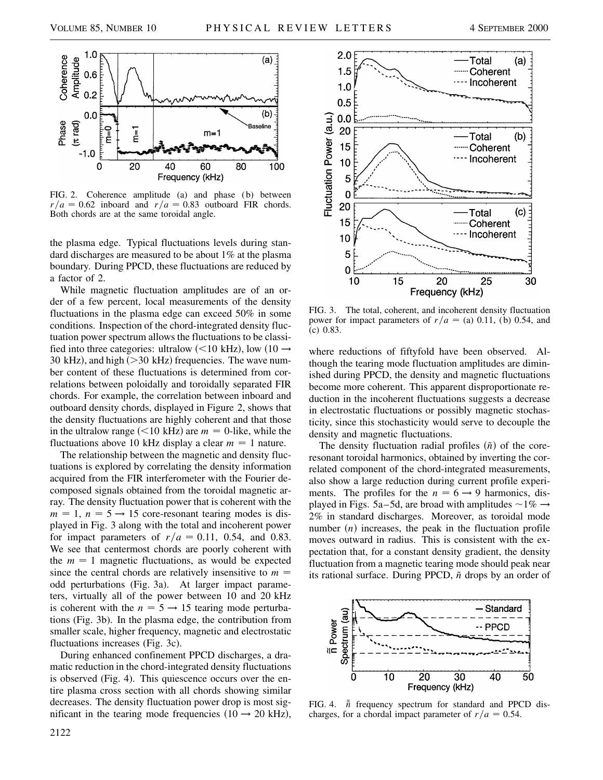

FIG. 2. Coherence amplitude (a) and phase (b) between  $r/a = 0.62$  inboard and  $r/a = 0.83$  outboard FIR chords. Both chords are at the same toroidal angle.

the plasma edge. Typical fluctuations levels during standard discharges are measured to be about 1% at the plasma boundary. During PPCD, these fluctuations are reduced by a factor of 2.

While magnetic fluctuation amplitudes are of an order of a few percent, local measurements of the density fluctuations in the plasma edge can exceed 50% in some conditions. Inspection of the chord-integrated density fluctuation power spectrum allows the fluctuations to be classified into three categories: ultralow (<10 kHz), low (10  $\rightarrow$ 30 kHz), and high (> 30 kHz) frequencies. The wave number content of these fluctuations is determined from correlations between poloidally and toroidally separated FIR chords. For example, the correlation between inboard and outboard density chords, displayed in Figure 2, shows that the density fluctuations are highly coherent and that those in the ultralow range  $(<10 \text{ kHz})$  are  $m = 0$ -like, while the fluctuations above 10 kHz display a clear  $m = 1$  nature.

The relationship between the magnetic and density fluctuations is explored by correlating the density information acquired from the FIR interferometer with the Fourier decomposed signals obtained from the toroidal magnetic array. The density fluctuation power that is coherent with the  $m = 1$ ,  $n = 5 \rightarrow 15$  core-resonant tearing modes is displayed in Fig. 3 along with the total and incoherent power for impact parameters of  $r/a = 0.11$ , 0.54, and 0.83. We see that centermost chords are poorly coherent with the  $m = 1$  magnetic fluctuations, as would be expected since the central chords are relatively insensitive to  $m =$ odd perturbations (Fig. 3a). At larger impact parameters, virtually all of the power between 10 and 20 kHz is coherent with the  $n = 5 \rightarrow 15$  tearing mode perturbations (Fig. 3b). In the plasma edge, the contribution from smaller scale, higher frequency, magnetic and electrostatic fluctuations increases (Fig. 3c).

During enhanced confinement PPCD discharges, a dramatic reduction in the chord-integrated density fluctuations is observed (Fig. 4). This quiescence occurs over the entire plasma cross section with all chords showing similar decreases. The density fluctuation power drop is most significant in the tearing mode frequencies  $(10 \rightarrow 20 \text{ kHz})$ ,



FIG. 3. The total, coherent, and incoherent density fluctuation power for impact parameters of  $r/a =$  (a) 0.11, (b) 0.54, and (c) 0.83.

where reductions of fiftyfold have been observed. Although the tearing mode fluctuation amplitudes are diminished during PPCD, the density and magnetic fluctuations become more coherent. This apparent disproportionate reduction in the incoherent fluctuations suggests a decrease in electrostatic fluctuations or possibly magnetic stochasticity, since this stochasticity would serve to decouple the density and magnetic fluctuations.

The density fluctuation radial profiles  $(\tilde{n})$  of the coreresonant toroidal harmonics, obtained by inverting the correlated component of the chord-integrated measurements, also show a large reduction during current profile experiments. The profiles for the  $n = 6 \rightarrow 9$  harmonics, displayed in Figs. 5a–5d, are broad with amplitudes  $\sim$ 1%  $\rightarrow$ 2% in standard discharges. Moreover, as toroidal mode number  $(n)$  increases, the peak in the fluctuation profile moves outward in radius. This is consistent with the expectation that, for a constant density gradient, the density fluctuation from a magnetic tearing mode should peak near its rational surface. During PPCD,  $\tilde{n}$  drops by an order of



FIG. 4.  $\tilde{n}$  frequency spectrum for standard and PPCD discharges, for a chordal impact parameter of  $r/a = 0.54$ .